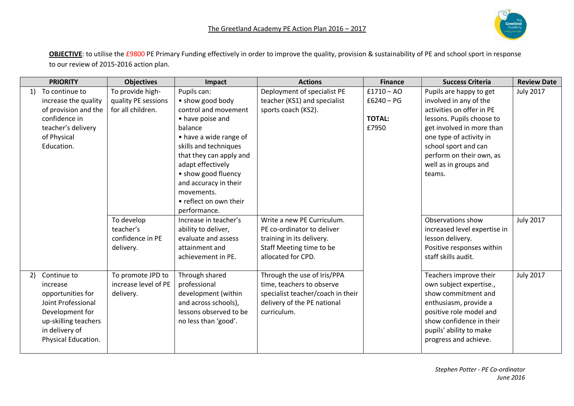**OBJECTIVE**: to utilise the £9800 PE Primary Funding effectively in order to improve the quality, provision & sustainability of PE and school sport in response to our review of 2015-2016 action plan.

|    | <b>PRIORITY</b>      | <b>Objectives</b>    | Impact                  | <b>Actions</b>                    | <b>Finance</b> | <b>Success Criteria</b>      | <b>Review Date</b> |
|----|----------------------|----------------------|-------------------------|-----------------------------------|----------------|------------------------------|--------------------|
| 1) | To continue to       | To provide high-     | Pupils can:             | Deployment of specialist PE       | $£1710 - AO$   | Pupils are happy to get      | <b>July 2017</b>   |
|    | increase the quality | quality PE sessions  | • show good body        | teacher (KS1) and specialist      | $£6240 - PG$   | involved in any of the       |                    |
|    | of provision and the | for all children.    | control and movement    | sports coach (KS2).               |                | activities on offer in PE    |                    |
|    | confidence in        |                      | • have poise and        |                                   | <b>TOTAL:</b>  | lessons. Pupils choose to    |                    |
|    | teacher's delivery   |                      | balance                 |                                   | £7950          | get involved in more than    |                    |
|    | of Physical          |                      | • have a wide range of  |                                   |                | one type of activity in      |                    |
|    | Education.           |                      | skills and techniques   |                                   |                | school sport and can         |                    |
|    |                      |                      | that they can apply and |                                   |                | perform on their own, as     |                    |
|    |                      |                      | adapt effectively       |                                   |                | well as in groups and        |                    |
|    |                      |                      | • show good fluency     |                                   |                | teams.                       |                    |
|    |                      |                      | and accuracy in their   |                                   |                |                              |                    |
|    |                      |                      | movements.              |                                   |                |                              |                    |
|    |                      |                      | • reflect on own their  |                                   |                |                              |                    |
|    |                      |                      | performance.            |                                   |                |                              |                    |
|    |                      | To develop           | Increase in teacher's   | Write a new PE Curriculum.        |                | Observations show            | <b>July 2017</b>   |
|    |                      | teacher's            | ability to deliver,     | PE co-ordinator to deliver        |                | increased level expertise in |                    |
|    |                      | confidence in PE     | evaluate and assess     | training in its delivery.         |                | lesson delivery.             |                    |
|    |                      | delivery.            | attainment and          | Staff Meeting time to be          |                | Positive responses within    |                    |
|    |                      |                      | achievement in PE.      | allocated for CPD.                |                | staff skills audit.          |                    |
| 2) | Continue to          | To promote JPD to    | Through shared          | Through the use of Iris/PPA       |                | Teachers improve their       | <b>July 2017</b>   |
|    | increase             | increase level of PE | professional            | time, teachers to observe         |                | own subject expertise.,      |                    |
|    | opportunities for    | delivery.            | development (within     | specialist teacher/coach in their |                | show commitment and          |                    |
|    | Joint Professional   |                      | and across schools),    | delivery of the PE national       |                | enthusiasm, provide a        |                    |
|    | Development for      |                      | lessons observed to be  | curriculum.                       |                | positive role model and      |                    |
|    | up-skilling teachers |                      | no less than 'good'.    |                                   |                | show confidence in their     |                    |
|    | in delivery of       |                      |                         |                                   |                | pupils' ability to make      |                    |
|    | Physical Education.  |                      |                         |                                   |                | progress and achieve.        |                    |
|    |                      |                      |                         |                                   |                |                              |                    |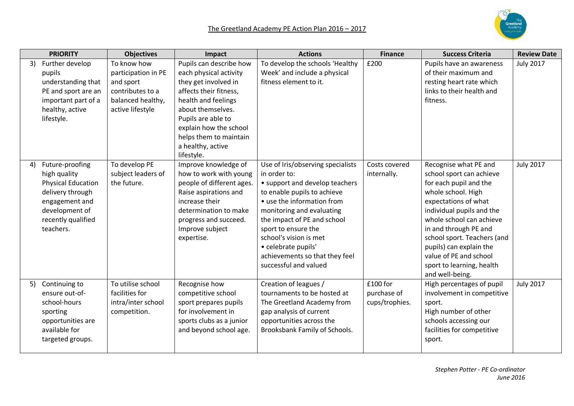|    | <b>PRIORITY</b>                                                                                                                                         | <b>Objectives</b>                                                                                            | Impact                                                                                                                                                                                                                                                       | <b>Actions</b>                                                                                                                                                                                                                                                                                                                                  | <b>Finance</b>                            | <b>Success Criteria</b>                                                                                                                                                                                                                                                                                                                         | <b>Review Date</b> |
|----|---------------------------------------------------------------------------------------------------------------------------------------------------------|--------------------------------------------------------------------------------------------------------------|--------------------------------------------------------------------------------------------------------------------------------------------------------------------------------------------------------------------------------------------------------------|-------------------------------------------------------------------------------------------------------------------------------------------------------------------------------------------------------------------------------------------------------------------------------------------------------------------------------------------------|-------------------------------------------|-------------------------------------------------------------------------------------------------------------------------------------------------------------------------------------------------------------------------------------------------------------------------------------------------------------------------------------------------|--------------------|
| 3) | Further develop<br>pupils<br>understanding that<br>PE and sport are an<br>important part of a<br>healthy, active<br>lifestyle.                          | To know how<br>participation in PE<br>and sport<br>contributes to a<br>balanced healthy,<br>active lifestyle | Pupils can describe how<br>each physical activity<br>they get involved in<br>affects their fitness,<br>health and feelings<br>about themselves.<br>Pupils are able to<br>explain how the school<br>helps them to maintain<br>a healthy, active<br>lifestyle. | To develop the schools 'Healthy<br>Week' and include a physical<br>fitness element to it.                                                                                                                                                                                                                                                       | £200                                      | Pupils have an awareness<br>of their maximum and<br>resting heart rate which<br>links to their health and<br>fitness.                                                                                                                                                                                                                           | <b>July 2017</b>   |
| 4) | Future-proofing<br>high quality<br><b>Physical Education</b><br>delivery through<br>engagement and<br>development of<br>recently qualified<br>teachers. | To develop PE<br>subject leaders of<br>the future.                                                           | Improve knowledge of<br>how to work with young<br>people of different ages.<br>Raise aspirations and<br>increase their<br>determination to make<br>progress and succeed.<br>Improve subject<br>expertise.                                                    | Use of Iris/observing specialists<br>in order to:<br>• support and develop teachers<br>to enable pupils to achieve<br>• use the information from<br>monitoring and evaluating<br>the impact of PE and school<br>sport to ensure the<br>school's vision is met<br>• celebrate pupils'<br>achievements so that they feel<br>successful and valued | Costs covered<br>internally.              | Recognise what PE and<br>school sport can achieve<br>for each pupil and the<br>whole school. High<br>expectations of what<br>individual pupils and the<br>whole school can achieve<br>in and through PE and<br>school sport. Teachers (and<br>pupils) can explain the<br>value of PE and school<br>sport to learning, health<br>and well-being. | <b>July 2017</b>   |
| 5) | Continuing to<br>ensure out-of-<br>school-hours<br>sporting<br>opportunities are<br>available for<br>targeted groups.                                   | To utilise school<br>facilities for<br>intra/inter school<br>competition.                                    | Recognise how<br>competitive school<br>sport prepares pupils<br>for involvement in<br>sports clubs as a junior<br>and beyond school age.                                                                                                                     | Creation of leagues /<br>tournaments to be hosted at<br>The Greetland Academy from<br>gap analysis of current<br>opportunities across the<br>Brooksbank Family of Schools.                                                                                                                                                                      | £100 for<br>purchase of<br>cups/trophies. | High percentages of pupil<br>involvement in competitive<br>sport.<br>High number of other<br>schools accessing our<br>facilities for competitive<br>sport.                                                                                                                                                                                      | <b>July 2017</b>   |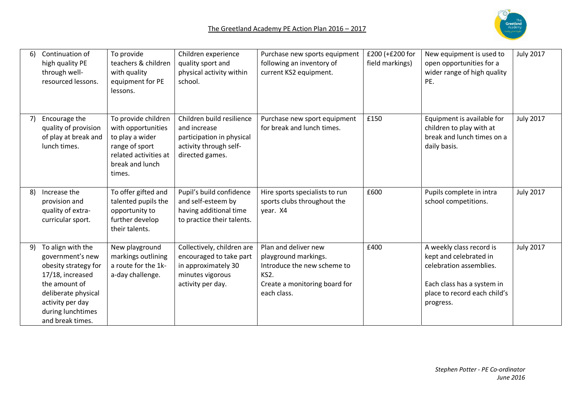

| 6) | Continuation of<br>high quality PE<br>through well-<br>resourced lessons.                                                                                                              | To provide<br>teachers & children<br>with quality<br>equipment for PE<br>lessons.                                                    | Children experience<br>quality sport and<br>physical activity within<br>school.                                       | Purchase new sports equipment<br>following an inventory of<br>current KS2 equipment.                                                             | £200 (+£200 for<br>field markings) | New equipment is used to<br>open opportunities for a<br>wider range of high quality<br>PE.                                                               | <b>July 2017</b> |
|----|----------------------------------------------------------------------------------------------------------------------------------------------------------------------------------------|--------------------------------------------------------------------------------------------------------------------------------------|-----------------------------------------------------------------------------------------------------------------------|--------------------------------------------------------------------------------------------------------------------------------------------------|------------------------------------|----------------------------------------------------------------------------------------------------------------------------------------------------------|------------------|
| 7) | Encourage the<br>quality of provision<br>of play at break and<br>lunch times.                                                                                                          | To provide children<br>with opportunities<br>to play a wider<br>range of sport<br>related activities at<br>break and lunch<br>times. | Children build resilience<br>and increase<br>participation in physical<br>activity through self-<br>directed games.   | Purchase new sport equipment<br>for break and lunch times.                                                                                       | £150                               | Equipment is available for<br>children to play with at<br>break and lunch times on a<br>daily basis.                                                     | <b>July 2017</b> |
| 8) | Increase the<br>provision and<br>quality of extra-<br>curricular sport.                                                                                                                | To offer gifted and<br>talented pupils the<br>opportunity to<br>further develop<br>their talents.                                    | Pupil's build confidence<br>and self-esteem by<br>having additional time<br>to practice their talents.                | Hire sports specialists to run<br>sports clubs throughout the<br>year. X4                                                                        | £600                               | Pupils complete in intra<br>school competitions.                                                                                                         | <b>July 2017</b> |
| 9) | To align with the<br>government's new<br>obesity strategy for<br>17/18, increased<br>the amount of<br>deliberate physical<br>activity per day<br>during lunchtimes<br>and break times. | New playground<br>markings outlining<br>a route for the 1k-<br>a-day challenge.                                                      | Collectively, children are<br>encouraged to take part<br>in approximately 30<br>minutes vigorous<br>activity per day. | Plan and deliver new<br>playground markings.<br>Introduce the new scheme to<br>KS <sub>2</sub> .<br>Create a monitoring board for<br>each class. | £400                               | A weekly class record is<br>kept and celebrated in<br>celebration assemblies.<br>Each class has a system in<br>place to record each child's<br>progress. | <b>July 2017</b> |